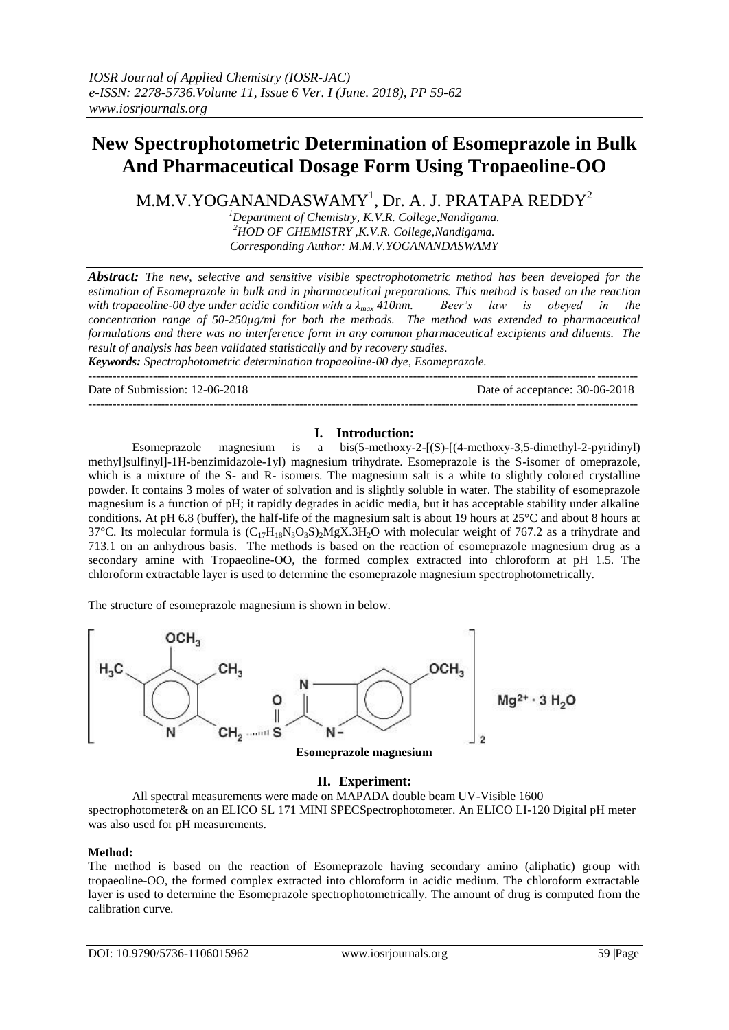# **New Spectrophotometric Determination of Esomeprazole in Bulk And Pharmaceutical Dosage Form Using Tropaeoline-OO**

M.M.V.YOGANANDASWAMY $^{\rm l}$ , Dr. A. J. PRATAPA REDDY $^{\rm 2}$ 

*<sup>1</sup>Department of Chemistry, K.V.R. College,Nandigama. <sup>2</sup>HOD OF CHEMISTRY ,K.V.R. College,Nandigama. Corresponding Author: M.M.V.YOGANANDASWAMY*

*Abstract: The new, selective and sensitive visible spectrophotometric method has been developed for the estimation of Esomeprazole in bulk and in pharmaceutical preparations. This method is based on the reaction with tropaeoline-00 dye under acidic condition with a λmax 410nm. Beer's law is obeyed in the concentration range of 50-250µg/ml for both the methods. The method was extended to pharmaceutical formulations and there was no interference form in any common pharmaceutical excipients and diluents. The result of analysis has been validated statistically and by recovery studies.*

*Keywords: Spectrophotometric determination tropaeoline-00 dye, Esomeprazole.*

| Date of Submission: 12-06-2018 | Date of acceptance: 30-06-2018 |
|--------------------------------|--------------------------------|
|                                |                                |

## **I. Introduction:**

Esomeprazole magnesium is a bis(5-methoxy-2-[(S)-[(4-methoxy-3,5-dimethyl-2-pyridinyl) methyl]sulfinyl]-1H-benzimidazole-1yl) magnesium trihydrate. Esomeprazole is the S-isomer of omeprazole, which is a mixture of the S- and R- isomers. The magnesium salt is a white to slightly colored crystalline powder. It contains 3 moles of water of solvation and is slightly soluble in water. The stability of esomeprazole magnesium is a function of pH; it rapidly degrades in acidic media, but it has acceptable stability under alkaline conditions. At pH 6.8 (buffer), the half-life of the magnesium salt is about 19 hours at 25°C and about 8 hours at 37°C. Its molecular formula is  $(C_{17}H_{18}N_3O_3S)$ , MgX.3H<sub>2</sub>O with molecular weight of 767.2 as a trihydrate and 713.1 on an anhydrous basis. The methods is based on the reaction of esomeprazole magnesium drug as a secondary amine with Tropaeoline-OO, the formed complex extracted into chloroform at pH 1.5. The chloroform extractable layer is used to determine the esomeprazole magnesium spectrophotometrically.

The structure of esomeprazole magnesium is shown in below.



# **II. Experiment:**

All spectral measurements were made on MAPADA double beam UV-Visible 1600 spectrophotometer& on an ELICO SL 171 MINI SPECSpectrophotometer. An ELICO LI-120 Digital pH meter was also used for pH measurements.

## **Method:**

The method is based on the reaction of Esomeprazole having secondary amino (aliphatic) group with tropaeoline-OO, the formed complex extracted into chloroform in acidic medium. The chloroform extractable layer is used to determine the Esomeprazole spectrophotometrically. The amount of drug is computed from the calibration curve.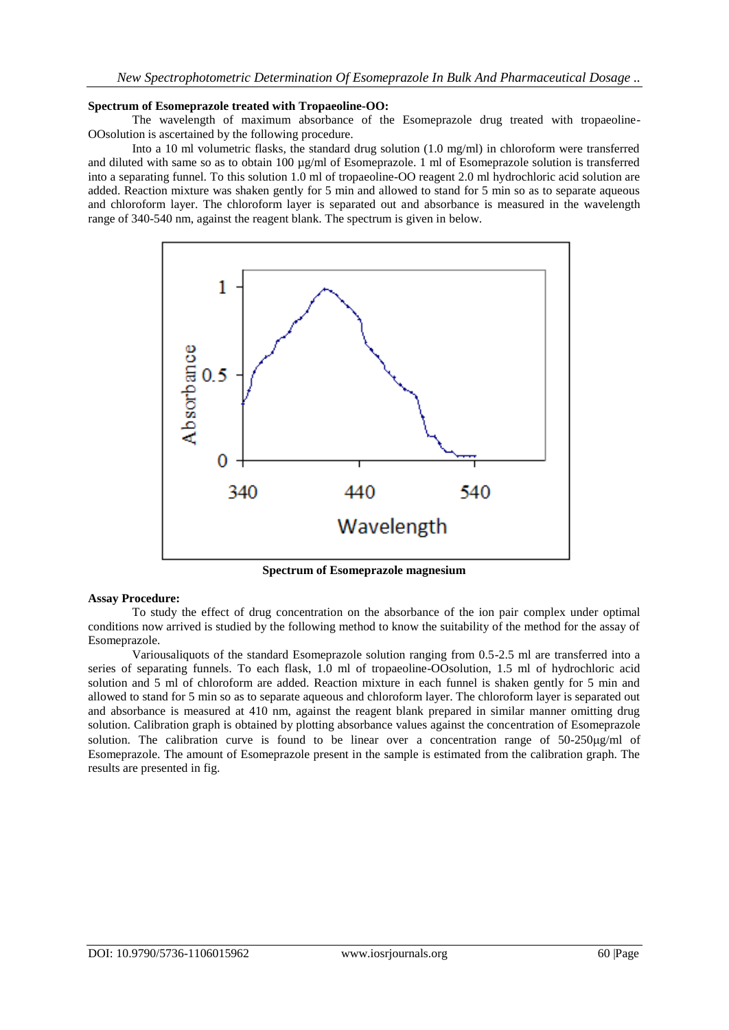### **Spectrum of Esomeprazole treated with Tropaeoline-OO:**

The wavelength of maximum absorbance of the Esomeprazole drug treated with tropaeoline-OOsolution is ascertained by the following procedure.

Into a 10 ml volumetric flasks, the standard drug solution (1.0 mg/ml) in chloroform were transferred and diluted with same so as to obtain 100 µg/ml of Esomeprazole. 1 ml of Esomeprazole solution is transferred into a separating funnel. To this solution 1.0 ml of tropaeoline-OO reagent 2.0 ml hydrochloric acid solution are added. Reaction mixture was shaken gently for 5 min and allowed to stand for 5 min so as to separate aqueous and chloroform layer. The chloroform layer is separated out and absorbance is measured in the wavelength range of 340-540 nm, against the reagent blank. The spectrum is given in below.



**Spectrum of Esomeprazole magnesium**

#### **Assay Procedure:**

To study the effect of drug concentration on the absorbance of the ion pair complex under optimal conditions now arrived is studied by the following method to know the suitability of the method for the assay of Esomeprazole.

Variousaliquots of the standard Esomeprazole solution ranging from 0.5-2.5 ml are transferred into a series of separating funnels. To each flask, 1.0 ml of tropaeoline-OOsolution, 1.5 ml of hydrochloric acid solution and 5 ml of chloroform are added. Reaction mixture in each funnel is shaken gently for 5 min and allowed to stand for 5 min so as to separate aqueous and chloroform layer. The chloroform layer is separated out and absorbance is measured at 410 nm, against the reagent blank prepared in similar manner omitting drug solution. Calibration graph is obtained by plotting absorbance values against the concentration of Esomeprazole solution. The calibration curve is found to be linear over a concentration range of  $50-250\mu\text{g/ml}$  of Esomeprazole. The amount of Esomeprazole present in the sample is estimated from the calibration graph. The results are presented in fig.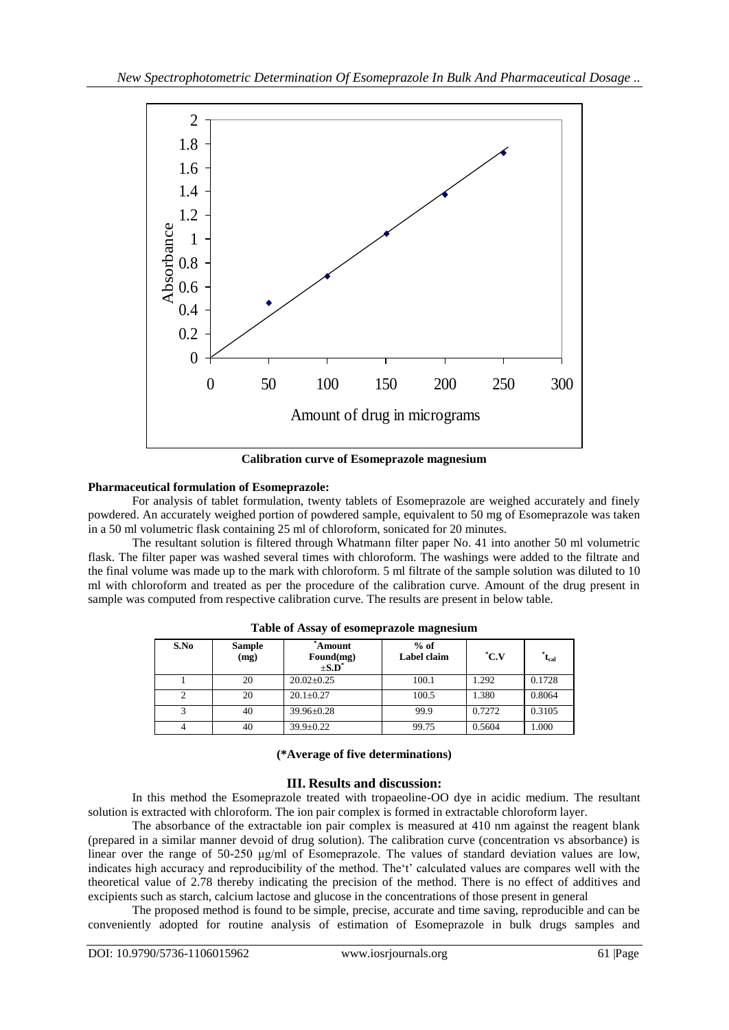

**Calibration curve of Esomeprazole magnesium**

# **Pharmaceutical formulation of Esomeprazole:**

For analysis of tablet formulation, twenty tablets of Esomeprazole are weighed accurately and finely powdered. An accurately weighed portion of powdered sample, equivalent to 50 mg of Esomeprazole was taken in a 50 ml volumetric flask containing 25 ml of chloroform, sonicated for 20 minutes.

The resultant solution is filtered through Whatmann filter paper No. 41 into another 50 ml volumetric flask. The filter paper was washed several times with chloroform. The washings were added to the filtrate and the final volume was made up to the mark with chloroform. 5 ml filtrate of the sample solution was diluted to 10 ml with chloroform and treated as per the procedure of the calibration curve. Amount of the drug present in sample was computed from respective calibration curve. The results are present in below table.

| S.No | <b>Sample</b><br>(mg) | Amount<br>Found(mg)<br>$\pm$ S.D <sup><math>\pm</math></sup> | $%$ of<br>Label claim | $^{\ast}$ C.V | $t_{cal}$ |
|------|-----------------------|--------------------------------------------------------------|-----------------------|---------------|-----------|
|      | 20                    | $20.02 \pm 0.25$                                             | 100.1                 | 1.292         | 0.1728    |
|      | 20                    | $20.1 \pm 0.27$                                              | 100.5                 | 1.380         | 0.8064    |
|      | 40                    | 39.96±0.28                                                   | 99.9                  | 0.7272        | 0.3105    |
|      | 40                    | $39.9 \pm 0.22$                                              | 99.75                 | 0.5604        | 1.000     |

**Table of Assay of esomeprazole magnesium**

# **(\*Average of five determinations)**

# **III. Results and discussion:**

In this method the Esomeprazole treated with tropaeoline-OO dye in acidic medium. The resultant solution is extracted with chloroform. The ion pair complex is formed in extractable chloroform layer.

The absorbance of the extractable ion pair complex is measured at 410 nm against the reagent blank (prepared in a similar manner devoid of drug solution). The calibration curve (concentration vs absorbance) is linear over the range of 50-250 μg/ml of Esomeprazole. The values of standard deviation values are low, indicates high accuracy and reproducibility of the method. The't' calculated values are compares well with the theoretical value of 2.78 thereby indicating the precision of the method. There is no effect of additives and excipients such as starch, calcium lactose and glucose in the concentrations of those present in general

The proposed method is found to be simple, precise, accurate and time saving, reproducible and can be conveniently adopted for routine analysis of estimation of Esomeprazole in bulk drugs samples and